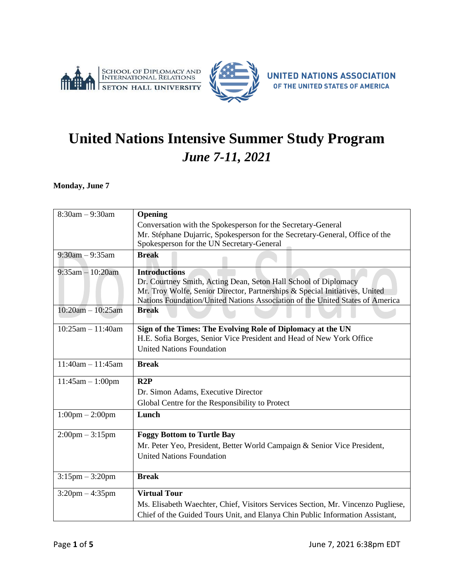



# **United Nations Intensive Summer Study Program** *June 7-11, 2021*

**Monday, June 7**

| $8:30am - 9:30am$                 | Opening                                                                          |
|-----------------------------------|----------------------------------------------------------------------------------|
|                                   | Conversation with the Spokesperson for the Secretary-General                     |
|                                   | Mr. Stéphane Dujarric, Spokesperson for the Secretary-General, Office of the     |
|                                   | Spokesperson for the UN Secretary-General                                        |
| $9:30$ am $-9:35$ am              | <b>Break</b>                                                                     |
| $9:35$ am $-10:20$ am             | <b>Introductions</b>                                                             |
|                                   | Dr. Courtney Smith, Acting Dean, Seton Hall School of Diplomacy                  |
|                                   | Mr. Troy Wolfe, Senior Director, Partnerships & Special Initiatives, United      |
|                                   | Nations Foundation/United Nations Association of the United States of America    |
| $10:20am - 10:25am$               | <b>Break</b>                                                                     |
| $10:25am - 11:40am$               | Sign of the Times: The Evolving Role of Diplomacy at the UN                      |
|                                   | H.E. Sofia Borges, Senior Vice President and Head of New York Office             |
|                                   | <b>United Nations Foundation</b>                                                 |
| $11:40am - 11:45am$               | <b>Break</b>                                                                     |
| $11:45am - 1:00pm$                | R2P                                                                              |
|                                   | Dr. Simon Adams, Executive Director                                              |
|                                   | Global Centre for the Responsibility to Protect                                  |
| $1:00 \text{pm} - 2:00 \text{pm}$ | Lunch                                                                            |
| $2:00 \text{pm} - 3:15 \text{pm}$ | <b>Foggy Bottom to Turtle Bay</b>                                                |
|                                   | Mr. Peter Yeo, President, Better World Campaign & Senior Vice President,         |
|                                   | <b>United Nations Foundation</b>                                                 |
|                                   |                                                                                  |
| $3:15$ pm $-3:20$ pm              | <b>Break</b>                                                                     |
| $3:20 \text{pm} - 4:35 \text{pm}$ | <b>Virtual Tour</b>                                                              |
|                                   | Ms. Elisabeth Waechter, Chief, Visitors Services Section, Mr. Vincenzo Pugliese, |
|                                   | Chief of the Guided Tours Unit, and Elanya Chin Public Information Assistant,    |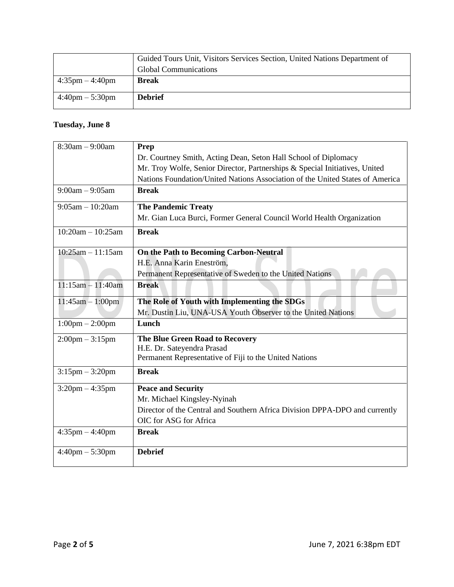|                                   | Guided Tours Unit, Visitors Services Section, United Nations Department of |
|-----------------------------------|----------------------------------------------------------------------------|
|                                   | <b>Global Communications</b>                                               |
| $4:35 \text{pm} - 4:40 \text{pm}$ | <b>Break</b>                                                               |
|                                   |                                                                            |
| $4:40 \text{pm} - 5:30 \text{pm}$ | <b>Debrief</b>                                                             |
|                                   |                                                                            |

## **Tuesday, June 8**

| $8:30am - 9:00am$                 | Prep                                                                          |
|-----------------------------------|-------------------------------------------------------------------------------|
|                                   | Dr. Courtney Smith, Acting Dean, Seton Hall School of Diplomacy               |
|                                   | Mr. Troy Wolfe, Senior Director, Partnerships & Special Initiatives, United   |
|                                   | Nations Foundation/United Nations Association of the United States of America |
| $9:00am - 9:05am$                 | <b>Break</b>                                                                  |
| $9:05am - 10:20am$                | <b>The Pandemic Treaty</b>                                                    |
|                                   | Mr. Gian Luca Burci, Former General Council World Health Organization         |
| $10:20am - 10:25am$               | <b>Break</b>                                                                  |
| $10:25am - 11:15am$               | On the Path to Becoming Carbon-Neutral                                        |
|                                   | H.E. Anna Karin Eneström,                                                     |
|                                   | Permanent Representative of Sweden to the United Nations                      |
| $11:15am - 11:40am$               | <b>Break</b>                                                                  |
| $11:45am - 1:00pm$                | The Role of Youth with Implementing the SDGs                                  |
|                                   | Mr. Dustin Liu, UNA-USA Youth Observer to the United Nations                  |
| $1:00 \text{pm} - 2:00 \text{pm}$ | Lunch                                                                         |
| $2:00$ pm $-3:15$ pm              | The Blue Green Road to Recovery                                               |
|                                   | H.E. Dr. Sateyendra Prasad                                                    |
|                                   | Permanent Representative of Fiji to the United Nations                        |
| $3:15$ pm $-3:20$ pm              | <b>Break</b>                                                                  |
| $3:20$ pm $-4:35$ pm              | <b>Peace and Security</b>                                                     |
|                                   | Mr. Michael Kingsley-Nyinah                                                   |
|                                   | Director of the Central and Southern Africa Division DPPA-DPO and currently   |
|                                   | OIC for ASG for Africa                                                        |
| $4:35$ pm $-4:40$ pm              | <b>Break</b>                                                                  |
| $4:40 \text{pm} - 5:30 \text{pm}$ | <b>Debrief</b>                                                                |
|                                   |                                                                               |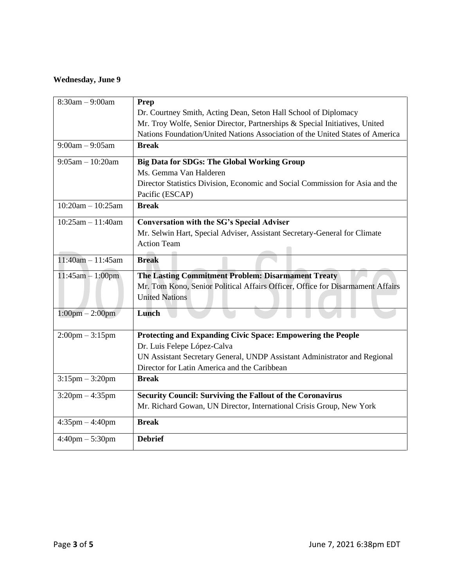## **Wednesday, June 9**

| $8:30am - 9:00am$                 | Prep                                                                           |
|-----------------------------------|--------------------------------------------------------------------------------|
|                                   | Dr. Courtney Smith, Acting Dean, Seton Hall School of Diplomacy                |
|                                   | Mr. Troy Wolfe, Senior Director, Partnerships & Special Initiatives, United    |
|                                   | Nations Foundation/United Nations Association of the United States of America  |
| $9:00am - 9:05am$                 | <b>Break</b>                                                                   |
| $9:05am - 10:20am$                | <b>Big Data for SDGs: The Global Working Group</b>                             |
|                                   | Ms. Gemma Van Halderen                                                         |
|                                   | Director Statistics Division, Economic and Social Commission for Asia and the  |
|                                   | Pacific (ESCAP)                                                                |
| $10:20am - 10:25am$               | <b>Break</b>                                                                   |
| $10:25am - 11:40am$               | <b>Conversation with the SG's Special Adviser</b>                              |
|                                   | Mr. Selwin Hart, Special Adviser, Assistant Secretary-General for Climate      |
|                                   | <b>Action Team</b>                                                             |
| $11:40am - 11:45am$               | <b>Break</b>                                                                   |
|                                   |                                                                                |
| $11:45am - 1:00pm$                | The Lasting Commitment Problem: Disarmament Treaty                             |
|                                   | Mr. Tom Kono, Senior Political Affairs Officer, Office for Disarmament Affairs |
|                                   | <b>United Nations</b>                                                          |
| $1:00 \text{pm} - 2:00 \text{pm}$ | Lunch                                                                          |
|                                   |                                                                                |
| $2:00 \text{pm} - 3:15 \text{pm}$ | Protecting and Expanding Civic Space: Empowering the People                    |
|                                   | Dr. Luis Felepe López-Calva                                                    |
|                                   | UN Assistant Secretary General, UNDP Assistant Administrator and Regional      |
|                                   | Director for Latin America and the Caribbean                                   |
| $3:15$ pm $-3:20$ pm              | <b>Break</b>                                                                   |
| $3:20$ pm $-4:35$ pm              | <b>Security Council: Surviving the Fallout of the Coronavirus</b>              |
|                                   | Mr. Richard Gowan, UN Director, International Crisis Group, New York           |
| $4:35$ pm $-4:40$ pm              | <b>Break</b>                                                                   |
| $4:40 \text{pm} - 5:30 \text{pm}$ | <b>Debrief</b>                                                                 |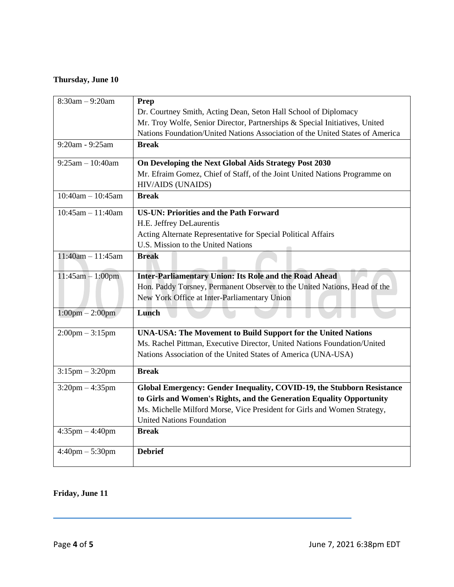## **Thursday, June 10**

| $8:30am - 9:20am$                 | Prep                                                                          |
|-----------------------------------|-------------------------------------------------------------------------------|
|                                   | Dr. Courtney Smith, Acting Dean, Seton Hall School of Diplomacy               |
|                                   | Mr. Troy Wolfe, Senior Director, Partnerships & Special Initiatives, United   |
|                                   | Nations Foundation/United Nations Association of the United States of America |
| $9:20$ am - $9:25$ am             | <b>Break</b>                                                                  |
| $9:25am - 10:40am$                | On Developing the Next Global Aids Strategy Post 2030                         |
|                                   | Mr. Efraim Gomez, Chief of Staff, of the Joint United Nations Programme on    |
|                                   | <b>HIV/AIDS (UNAIDS)</b>                                                      |
| $10:40$ am $- 10:45$ am           | <b>Break</b>                                                                  |
| $10:45am - 11:40am$               | <b>US-UN: Priorities and the Path Forward</b>                                 |
|                                   | H.E. Jeffrey DeLaurentis                                                      |
|                                   | Acting Alternate Representative for Special Political Affairs                 |
|                                   | U.S. Mission to the United Nations                                            |
| $11:40$ am $-11:45$ am            | <b>Break</b>                                                                  |
| $11:45am - 1:00pm$                | Inter-Parliamentary Union: Its Role and the Road Ahead                        |
|                                   | Hon. Paddy Torsney, Permanent Observer to the United Nations, Head of the     |
|                                   | New York Office at Inter-Parliamentary Union                                  |
| $1:00 \text{pm} - 2:00 \text{pm}$ | Lunch                                                                         |
| $2:00 \text{pm} - 3:15 \text{pm}$ | UNA-USA: The Movement to Build Support for the United Nations                 |
|                                   | Ms. Rachel Pittman, Executive Director, United Nations Foundation/United      |
|                                   | Nations Association of the United States of America (UNA-USA)                 |
| $3:15$ pm $-3:20$ pm              | <b>Break</b>                                                                  |
| $3:20$ pm $-4:35$ pm              | Global Emergency: Gender Inequality, COVID-19, the Stubborn Resistance        |
|                                   | to Girls and Women's Rights, and the Generation Equality Opportunity          |
|                                   | Ms. Michelle Milford Morse, Vice President for Girls and Women Strategy,      |
|                                   | <b>United Nations Foundation</b>                                              |
| $4:35$ pm $-4:40$ pm              | <b>Break</b>                                                                  |
| $4:40$ pm $-5:30$ pm              | <b>Debrief</b>                                                                |
|                                   |                                                                               |

## **Friday, June 11**